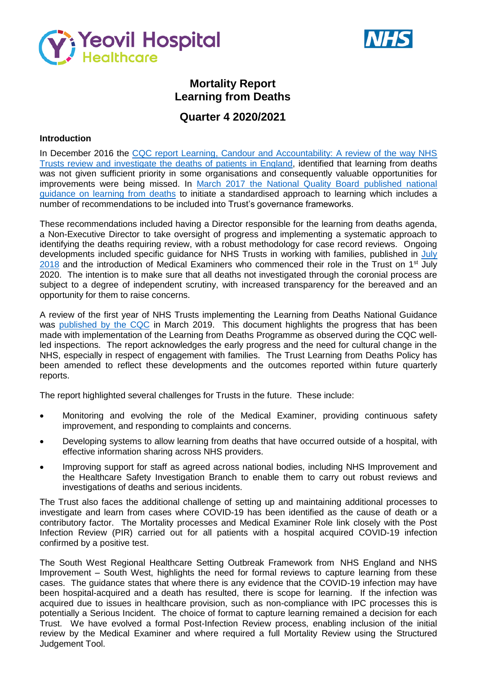



# **Mortality Report Learning from Deaths**

# **Quarter 4 2020/2021**

## **Introduction**

In December 2016 the CQC report Learning, Candour and Accountability: A review of the way NHS [Trusts review and investigate the](https://www.cqc.org.uk/sites/default/files/20161212-learning-candour-accountability-summary.pdf) deaths of patients in England, identified that learning from deaths was not given sufficient priority in some organisations and consequently valuable opportunities for improvements were being missed. In [March 2017 the National Quality Board published national](https://www.england.nhs.uk/wp-content/uploads/2017/03/nqb-national-guidance-learning-from-deaths.pdf)  [guidance on learning from deaths](https://www.england.nhs.uk/wp-content/uploads/2017/03/nqb-national-guidance-learning-from-deaths.pdf) to initiate a standardised approach to learning which includes a number of recommendations to be included into Trust's governance frameworks.

These recommendations included having a Director responsible for the learning from deaths agenda, a Non-Executive Director to take oversight of progress and implementing a systematic approach to identifying the deaths requiring review, with a robust methodology for case record reviews. Ongoing developments included specific guidance for NHS Trusts in working with families, published in [July](https://www.england.nhs.uk/wp-content/uploads/2018/08/learning-from-deaths-working-with-families-v2.pdf)  $2018$  and the introduction of Medical Examiners who commenced their role in the Trust on 1<sup>st</sup> July 2020. The intention is to make sure that all deaths not investigated through the coronial process are subject to a degree of independent scrutiny, with increased transparency for the bereaved and an opportunity for them to raise concerns.

A review of the first year of NHS Trusts implementing the Learning from Deaths National Guidance was [published by the CQC](https://www.cqc.org.uk/publications/themed-work/learning-deaths) in March 2019. This document highlights the progress that has been made with implementation of the Learning from Deaths Programme as observed during the CQC wellled inspections. The report acknowledges the early progress and the need for cultural change in the NHS, especially in respect of engagement with families. The Trust Learning from Deaths Policy has been amended to reflect these developments and the outcomes reported within future quarterly reports.

The report highlighted several challenges for Trusts in the future. These include:

- Monitoring and evolving the role of the Medical Examiner, providing continuous safety improvement, and responding to complaints and concerns.
- Developing systems to allow learning from deaths that have occurred outside of a hospital, with effective information sharing across NHS providers.
- Improving support for staff as agreed across national bodies, including NHS Improvement and the Healthcare Safety Investigation Branch to enable them to carry out robust reviews and investigations of deaths and serious incidents.

The Trust also faces the additional challenge of setting up and maintaining additional processes to investigate and learn from cases where COVID-19 has been identified as the cause of death or a contributory factor. The Mortality processes and Medical Examiner Role link closely with the Post Infection Review (PIR) carried out for all patients with a hospital acquired COVID-19 infection confirmed by a positive test.

The South West Regional Healthcare Setting Outbreak Framework from NHS England and NHS Improvement – South West, highlights the need for formal reviews to capture learning from these cases. The guidance states that where there is any evidence that the COVID-19 infection may have been hospital-acquired and a death has resulted, there is scope for learning. If the infection was acquired due to issues in healthcare provision, such as non-compliance with IPC processes this is potentially a Serious Incident. The choice of format to capture learning remained a decision for each Trust. We have evolved a formal Post-Infection Review process, enabling inclusion of the initial review by the Medical Examiner and where required a full Mortality Review using the Structured Judgement Tool.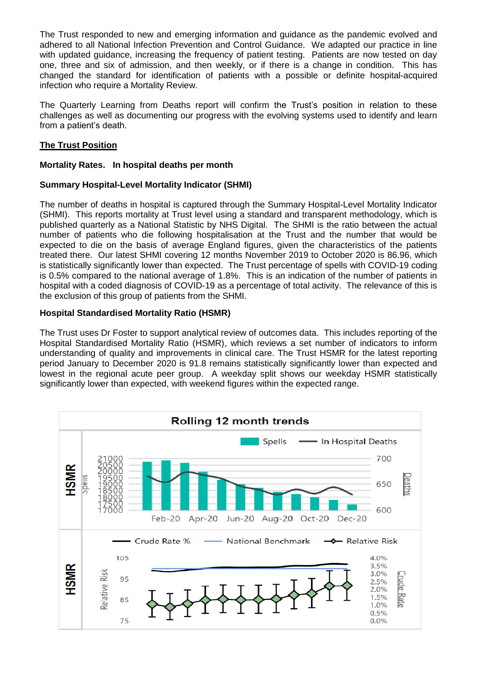The Trust responded to new and emerging information and guidance as the pandemic evolved and adhered to all National Infection Prevention and Control Guidance. We adapted our practice in line with updated guidance, increasing the frequency of patient testing. Patients are now tested on day one, three and six of admission, and then weekly, or if there is a change in condition. This has changed the standard for identification of patients with a possible or definite hospital-acquired infection who require a Mortality Review.

The Quarterly Learning from Deaths report will confirm the Trust's position in relation to these challenges as well as documenting our progress with the evolving systems used to identify and learn from a patient's death.

## **The Trust Position**

## **Mortality Rates. In hospital deaths per month**

## **Summary Hospital-Level Mortality Indicator (SHMI)**

The number of deaths in hospital is captured through the Summary Hospital-Level Mortality Indicator (SHMI). This reports mortality at Trust level using a standard and transparent methodology, which is published quarterly as a National Statistic by NHS Digital. The SHMI is the ratio between the actual number of patients who die following hospitalisation at the Trust and the number that would be expected to die on the basis of average England figures, given the characteristics of the patients treated there. Our latest SHMI covering 12 months November 2019 to October 2020 is 86.96, which is statistically significantly lower than expected. The Trust percentage of spells with COVID-19 coding is 0.5% compared to the national average of 1.8%. This is an indication of the number of patients in hospital with a coded diagnosis of COVID-19 as a percentage of total activity. The relevance of this is the exclusion of this group of patients from the SHMI.

## **Hospital Standardised Mortality Ratio (HSMR)**

The Trust uses Dr Foster to support analytical review of outcomes data. This includes reporting of the Hospital Standardised Mortality Ratio (HSMR), which reviews a set number of indicators to inform understanding of quality and improvements in clinical care. The Trust HSMR for the latest reporting period January to December 2020 is 91.8 remains statistically significantly lower than expected and lowest in the regional acute peer group. A weekday split shows our weekday HSMR statistically significantly lower than expected, with weekend figures within the expected range.

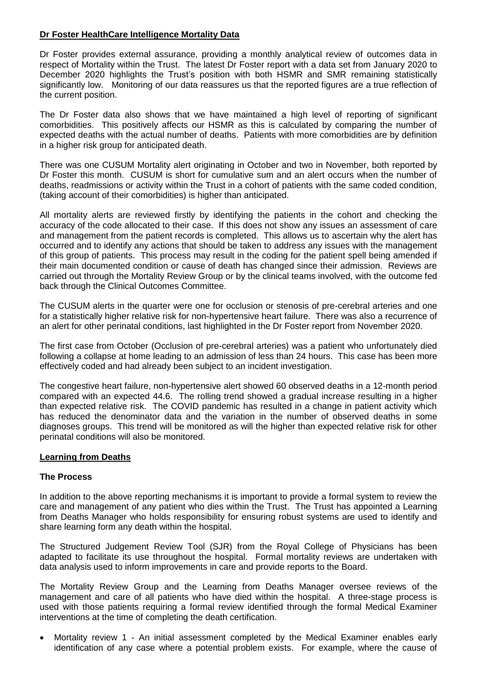## **Dr Foster HealthCare Intelligence Mortality Data**

Dr Foster provides external assurance, providing a monthly analytical review of outcomes data in respect of Mortality within the Trust. The latest Dr Foster report with a data set from January 2020 to December 2020 highlights the Trust's position with both HSMR and SMR remaining statistically significantly low. Monitoring of our data reassures us that the reported figures are a true reflection of the current position.

The Dr Foster data also shows that we have maintained a high level of reporting of significant comorbidities. This positively affects our HSMR as this is calculated by comparing the number of expected deaths with the actual number of deaths. Patients with more comorbidities are by definition in a higher risk group for anticipated death.

There was one CUSUM Mortality alert originating in October and two in November, both reported by Dr Foster this month. CUSUM is short for cumulative sum and an alert occurs when the number of deaths, readmissions or activity within the Trust in a cohort of patients with the same coded condition, (taking account of their comorbidities) is higher than anticipated.

All mortality alerts are reviewed firstly by identifying the patients in the cohort and checking the accuracy of the code allocated to their case. If this does not show any issues an assessment of care and management from the patient records is completed. This allows us to ascertain why the alert has occurred and to identify any actions that should be taken to address any issues with the management of this group of patients. This process may result in the coding for the patient spell being amended if their main documented condition or cause of death has changed since their admission. Reviews are carried out through the Mortality Review Group or by the clinical teams involved, with the outcome fed back through the Clinical Outcomes Committee.

The CUSUM alerts in the quarter were one for occlusion or stenosis of pre-cerebral arteries and one for a statistically higher relative risk for non-hypertensive heart failure. There was also a recurrence of an alert for other perinatal conditions, last highlighted in the Dr Foster report from November 2020.

The first case from October (Occlusion of pre-cerebral arteries) was a patient who unfortunately died following a collapse at home leading to an admission of less than 24 hours. This case has been more effectively coded and had already been subject to an incident investigation.

The congestive heart failure, non-hypertensive alert showed 60 observed deaths in a 12-month period compared with an expected 44.6. The rolling trend showed a gradual increase resulting in a higher than expected relative risk. The COVID pandemic has resulted in a change in patient activity which has reduced the denominator data and the variation in the number of observed deaths in some diagnoses groups. This trend will be monitored as will the higher than expected relative risk for other perinatal conditions will also be monitored.

## **Learning from Deaths**

## **The Process**

In addition to the above reporting mechanisms it is important to provide a formal system to review the care and management of any patient who dies within the Trust. The Trust has appointed a Learning from Deaths Manager who holds responsibility for ensuring robust systems are used to identify and share learning form any death within the hospital.

The Structured Judgement Review Tool (SJR) from the Royal College of Physicians has been adapted to facilitate its use throughout the hospital. Formal mortality reviews are undertaken with data analysis used to inform improvements in care and provide reports to the Board.

The Mortality Review Group and the Learning from Deaths Manager oversee reviews of the management and care of all patients who have died within the hospital. A three-stage process is used with those patients requiring a formal review identified through the formal Medical Examiner interventions at the time of completing the death certification.

 Mortality review 1 - An initial assessment completed by the Medical Examiner enables early identification of any case where a potential problem exists. For example, where the cause of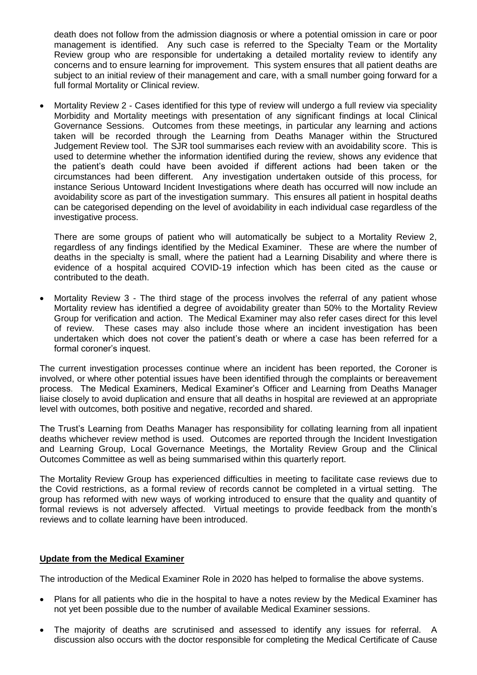death does not follow from the admission diagnosis or where a potential omission in care or poor management is identified. Any such case is referred to the Specialty Team or the Mortality Review group who are responsible for undertaking a detailed mortality review to identify any concerns and to ensure learning for improvement. This system ensures that all patient deaths are subject to an initial review of their management and care, with a small number going forward for a full formal Mortality or Clinical review.

 Mortality Review 2 - Cases identified for this type of review will undergo a full review via speciality Morbidity and Mortality meetings with presentation of any significant findings at local Clinical Governance Sessions. Outcomes from these meetings, in particular any learning and actions taken will be recorded through the Learning from Deaths Manager within the Structured Judgement Review tool. The SJR tool summarises each review with an avoidability score. This is used to determine whether the information identified during the review, shows any evidence that the patient's death could have been avoided if different actions had been taken or the circumstances had been different. Any investigation undertaken outside of this process, for instance Serious Untoward Incident Investigations where death has occurred will now include an avoidability score as part of the investigation summary. This ensures all patient in hospital deaths can be categorised depending on the level of avoidability in each individual case regardless of the investigative process.

There are some groups of patient who will automatically be subject to a Mortality Review 2, regardless of any findings identified by the Medical Examiner. These are where the number of deaths in the specialty is small, where the patient had a Learning Disability and where there is evidence of a hospital acquired COVID-19 infection which has been cited as the cause or contributed to the death.

• Mortality Review 3 - The third stage of the process involves the referral of any patient whose Mortality review has identified a degree of avoidability greater than 50% to the Mortality Review Group for verification and action. The Medical Examiner may also refer cases direct for this level of review. These cases may also include those where an incident investigation has been undertaken which does not cover the patient's death or where a case has been referred for a formal coroner's inquest.

The current investigation processes continue where an incident has been reported, the Coroner is involved, or where other potential issues have been identified through the complaints or bereavement process. The Medical Examiners, Medical Examiner's Officer and Learning from Deaths Manager liaise closely to avoid duplication and ensure that all deaths in hospital are reviewed at an appropriate level with outcomes, both positive and negative, recorded and shared.

The Trust's Learning from Deaths Manager has responsibility for collating learning from all inpatient deaths whichever review method is used. Outcomes are reported through the Incident Investigation and Learning Group, Local Governance Meetings, the Mortality Review Group and the Clinical Outcomes Committee as well as being summarised within this quarterly report.

The Mortality Review Group has experienced difficulties in meeting to facilitate case reviews due to the Covid restrictions, as a formal review of records cannot be completed in a virtual setting. The group has reformed with new ways of working introduced to ensure that the quality and quantity of formal reviews is not adversely affected. Virtual meetings to provide feedback from the month's reviews and to collate learning have been introduced.

## **Update from the Medical Examiner**

The introduction of the Medical Examiner Role in 2020 has helped to formalise the above systems.

- Plans for all patients who die in the hospital to have a notes review by the Medical Examiner has not yet been possible due to the number of available Medical Examiner sessions.
- The majority of deaths are scrutinised and assessed to identify any issues for referral. A discussion also occurs with the doctor responsible for completing the Medical Certificate of Cause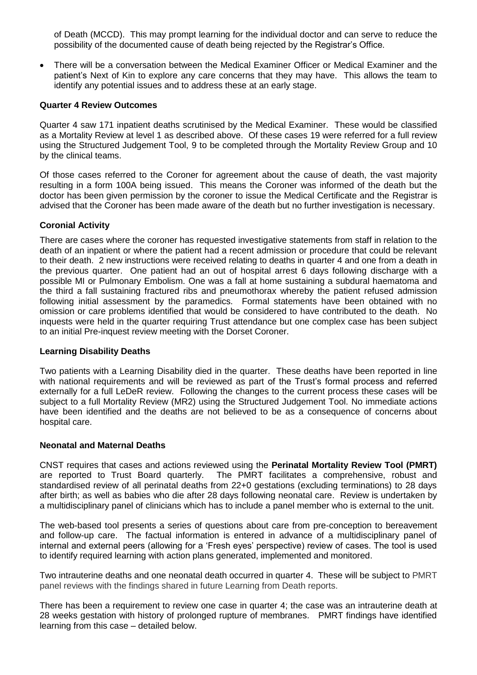of Death (MCCD). This may prompt learning for the individual doctor and can serve to reduce the possibility of the documented cause of death being rejected by the Registrar's Office.

 There will be a conversation between the Medical Examiner Officer or Medical Examiner and the patient's Next of Kin to explore any care concerns that they may have. This allows the team to identify any potential issues and to address these at an early stage.

#### **Quarter 4 Review Outcomes**

Quarter 4 saw 171 inpatient deaths scrutinised by the Medical Examiner. These would be classified as a Mortality Review at level 1 as described above. Of these cases 19 were referred for a full review using the Structured Judgement Tool, 9 to be completed through the Mortality Review Group and 10 by the clinical teams.

Of those cases referred to the Coroner for agreement about the cause of death, the vast majority resulting in a form 100A being issued. This means the Coroner was informed of the death but the doctor has been given permission by the coroner to issue the Medical Certificate and the Registrar is advised that the Coroner has been made aware of the death but no further investigation is necessary.

#### **Coronial Activity**

There are cases where the coroner has requested investigative statements from staff in relation to the death of an inpatient or where the patient had a recent admission or procedure that could be relevant to their death. 2 new instructions were received relating to deaths in quarter 4 and one from a death in the previous quarter. One patient had an out of hospital arrest 6 days following discharge with a possible MI or Pulmonary Embolism. One was a fall at home sustaining a subdural haematoma and the third a fall sustaining fractured ribs and pneumothorax whereby the patient refused admission following initial assessment by the paramedics. Formal statements have been obtained with no omission or care problems identified that would be considered to have contributed to the death. No inquests were held in the quarter requiring Trust attendance but one complex case has been subject to an initial Pre-inquest review meeting with the Dorset Coroner.

#### **Learning Disability Deaths**

Two patients with a Learning Disability died in the quarter. These deaths have been reported in line with national requirements and will be reviewed as part of the Trust's formal process and referred externally for a full LeDeR review. Following the changes to the current process these cases will be subject to a full Mortality Review (MR2) using the Structured Judgement Tool. No immediate actions have been identified and the deaths are not believed to be as a consequence of concerns about hospital care.

#### **Neonatal and Maternal Deaths**

CNST requires that cases and actions reviewed using the **Perinatal Mortality Review Tool (PMRT)** are reported to Trust Board quarterly. The PMRT facilitates a comprehensive, robust and standardised review of all perinatal deaths from 22+0 gestations (excluding terminations) to 28 days after birth; as well as babies who die after 28 days following neonatal care. Review is undertaken by a multidisciplinary panel of clinicians which has to include a panel member who is external to the unit.

The web-based tool presents a series of questions about care from pre-conception to bereavement and follow-up care. The factual information is entered in advance of a multidisciplinary panel of internal and external peers (allowing for a 'Fresh eyes' perspective) review of cases. The tool is used to identify required learning with action plans generated, implemented and monitored.

Two intrauterine deaths and one neonatal death occurred in quarter 4. These will be subject to PMRT panel reviews with the findings shared in future Learning from Death reports.

There has been a requirement to review one case in quarter 4; the case was an intrauterine death at 28 weeks gestation with history of prolonged rupture of membranes. PMRT findings have identified learning from this case – detailed below.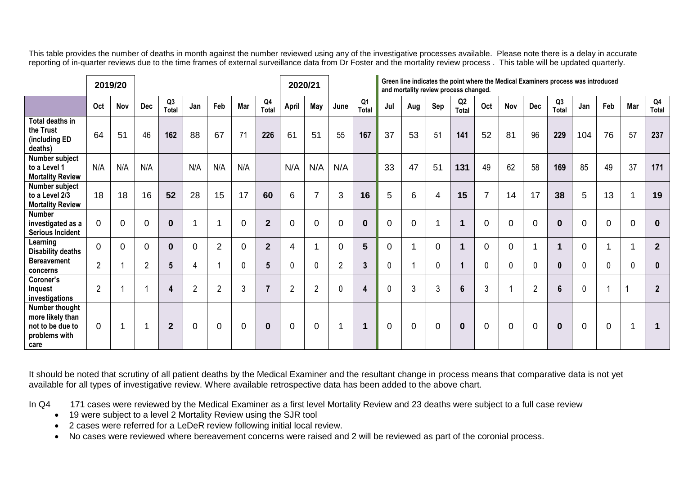This table provides the number of deaths in month against the number reviewed using any of the investigative processes available. Please note there is a delay in accurate reporting of in-quarter reviews due to the time frames of external surveillance data from Dr Foster and the mortality review process . This table will be updated quarterly.

|                                                                                 |                | 2019/20  |                |                         |                |                |             |                         | 2020/21        |                |                |              |              | Green line indicates the point where the Medical Examiners process was introduced<br>and mortality review process changed. |             |                                |                |                |                |             |                |             |          |                                |
|---------------------------------------------------------------------------------|----------------|----------|----------------|-------------------------|----------------|----------------|-------------|-------------------------|----------------|----------------|----------------|--------------|--------------|----------------------------------------------------------------------------------------------------------------------------|-------------|--------------------------------|----------------|----------------|----------------|-------------|----------------|-------------|----------|--------------------------------|
|                                                                                 | Oct            | Nov      | <b>Dec</b>     | Q <sub>3</sub><br>Total | Jan            | Feb            | Mar         | Q <sub>4</sub><br>Total | April          | May            | June           | Q1<br>Total  | Jul          | Aug                                                                                                                        | Sep         | Q <sub>2</sub><br><b>Total</b> | Oct            | Nov            | <b>Dec</b>     | Q3<br>Total | Jan            | Feb         | Mar      | Q <sub>4</sub><br><b>Total</b> |
| Total deaths in<br>the Trust<br>(including ED<br>deaths)                        | 64             | 51       | 46             | 162                     | 88             | 67             | 71          | 226                     | 61             | 51             | 55             | 167          | 37           | 53                                                                                                                         | 51          | 141                            | 52             | 81             | 96             | 229         | 104            | 76          | 57       | 237                            |
| Number subject<br>to a Level 1<br><b>Mortality Review</b>                       | N/A            | N/A      | N/A            |                         | N/A            | N/A            | N/A         |                         | N/A            | N/A            | N/A            |              | 33           | 47                                                                                                                         | 51          | 131                            | 49             | 62             | 58             | 169         | 85             | 49          | 37       | 171                            |
| Number subject<br>to a Level 2/3<br><b>Mortality Review</b>                     | 18             | 18       | 16             | 52                      | 28             | 15             | 17          | 60                      | 6              |                | 3              | 16           | 5            | 6                                                                                                                          | 4           | 15                             | $\overline{7}$ | 14             | 17             | 38          | 5              | 13          |          | 19                             |
| <b>Number</b><br>investigated as a<br><b>Serious Incident</b>                   | $\Omega$       | $\Omega$ | $\Omega$       | $\bf{0}$                |                | -1             | $\Omega$    | $\overline{2}$          | $\overline{0}$ | 0              | $\Omega$       | $\bf{0}$     | $\Omega$     | $\overline{0}$                                                                                                             |             |                                | $\Omega$       | $\overline{0}$ | $\Omega$       | $\bf{0}$    | $\Omega$       | $\mathbf 0$ | $\Omega$ | $\bf{0}$                       |
| Learning<br><b>Disability deaths</b>                                            | $\mathbf 0$    | $\Omega$ | $\Omega$       | $\bf{0}$                | $\Omega$       | $\overline{2}$ | $\Omega$    | $\overline{2}$          | 4              |                | $\Omega$       | 5            | $\mathbf 0$  |                                                                                                                            | 0           |                                | $\overline{0}$ | $\overline{0}$ |                | 1           | $\Omega$       |             |          | $\mathbf{2}$                   |
| <b>Bereavement</b><br>concerns                                                  | $\overline{2}$ |          | $\overline{2}$ | 5                       | 4              |                | $\mathbf 0$ | $5\phantom{.0}$         | $\mathbf 0$    | $\mathbf 0$    | $\overline{2}$ | $\mathbf{3}$ | $\mathbf 0$  |                                                                                                                            | $\mathbf 0$ |                                | $\mathbf{0}$   | $\mathbf{0}$   | $\mathbf 0$    | 0           | $\mathbf{0}$   | 0           | 0        | 0                              |
| Coroner's<br>Inquest<br>investigations                                          | $\overline{2}$ |          | $\overline{A}$ | 4                       | $\overline{2}$ | $\overline{2}$ | 3           | $\overline{7}$          | $\overline{2}$ | $\overline{2}$ | $\mathbf 0$    | 4            | $\mathbf{0}$ | 3                                                                                                                          | 3           | 6                              | 3              |                | $\overline{2}$ | 6           | $\Omega$       |             |          | $\overline{2}$                 |
| Number thought<br>more likely than<br>not to be due to<br>problems with<br>care | $\overline{0}$ |          | 1              | $\boldsymbol{2}$        | $\mathbf 0$    | $\overline{0}$ | $\mathbf 0$ | $\bf{0}$                | $\mathbf 0$    | $\mathbf 0$    | -1             | 1            | $\mathbf 0$  | $\mathbf 0$                                                                                                                | 0           | $\bf{0}$                       | $\mathbf 0$    | $\overline{0}$ | $\mathbf 0$    | $\bf{0}$    | $\overline{0}$ | $\mathbf 0$ |          |                                |

It should be noted that scrutiny of all patient deaths by the Medical Examiner and the resultant change in process means that comparative data is not yet available for all types of investigative review. Where available retrospective data has been added to the above chart.

In Q4 171 cases were reviewed by the Medical Examiner as a first level Mortality Review and 23 deaths were subject to a full case review

- 19 were subject to a level 2 Mortality Review using the SJR tool
- 2 cases were referred for a LeDeR review following initial local review.
- No cases were reviewed where bereavement concerns were raised and 2 will be reviewed as part of the coronial process.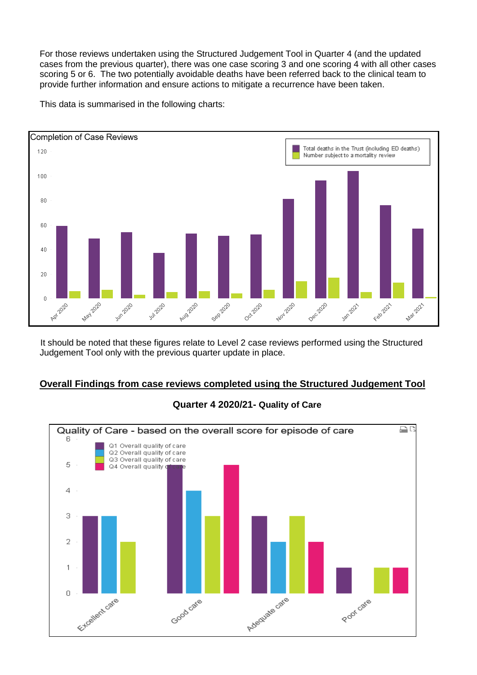For those reviews undertaken using the Structured Judgement Tool in Quarter 4 (and the updated cases from the previous quarter), there was one case scoring 3 and one scoring 4 with all other cases scoring 5 or 6. The two potentially avoidable deaths have been referred back to the clinical team to provide further information and ensure actions to mitigate a recurrence have been taken.

This data is summarised in the following charts:



It should be noted that these figures relate to Level 2 case reviews performed using the Structured Judgement Tool only with the previous quarter update in place.

## **Overall Findings from case reviews completed using the Structured Judgement Tool**



## **Quarter 4 2020/21- Quality of Care**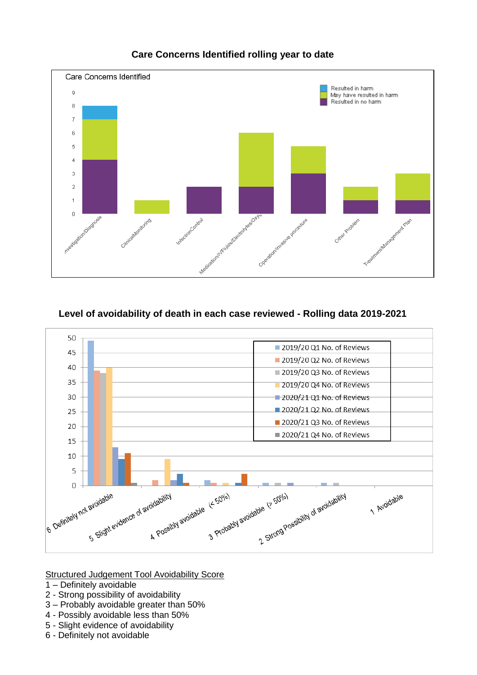

# **Care Concerns Identified rolling year to date**

## **Level of avoidability of death in each case reviewed - Rolling data 2019-2021**



Structured Judgement Tool Avoidability Score

- 1 Definitely avoidable
- 2 Strong possibility of avoidability
- 3 Probably avoidable greater than 50%
- 4 Possibly avoidable less than 50%
- 5 Slight evidence of avoidability
- 6 Definitely not avoidable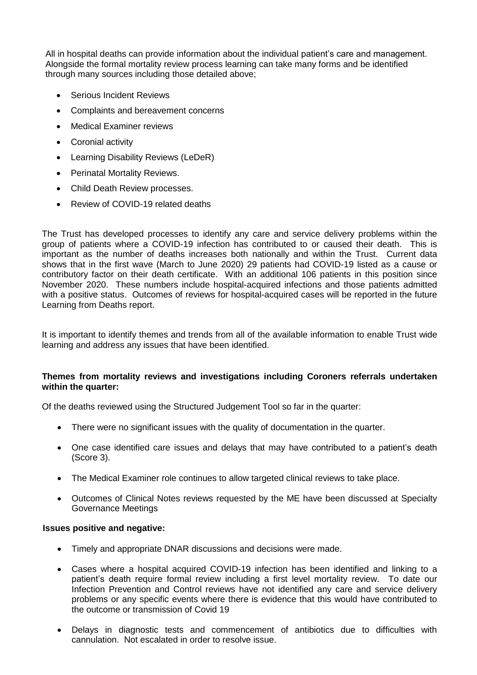All in hospital deaths can provide information about the individual patient's care and management. Alongside the formal mortality review process learning can take many forms and be identified through many sources including those detailed above;

- Serious Incident Reviews
- Complaints and bereavement concerns
- Medical Examiner reviews
- Coronial activity
- Learning Disability Reviews (LeDeR)
- Perinatal Mortality Reviews.
- Child Death Review processes.
- Review of COVID-19 related deaths

The Trust has developed processes to identify any care and service delivery problems within the group of patients where a COVID-19 infection has contributed to or caused their death. This is important as the number of deaths increases both nationally and within the Trust. Current data shows that in the first wave (March to June 2020) 29 patients had COVID-19 listed as a cause or contributory factor on their death certificate. With an additional 106 patients in this position since November 2020. These numbers include hospital-acquired infections and those patients admitted with a positive status. Outcomes of reviews for hospital-acquired cases will be reported in the future Learning from Deaths report.

It is important to identify themes and trends from all of the available information to enable Trust wide learning and address any issues that have been identified.

#### **Themes from mortality reviews and investigations including Coroners referrals undertaken within the quarter:**

Of the deaths reviewed using the Structured Judgement Tool so far in the quarter:

- There were no significant issues with the quality of documentation in the quarter.
- One case identified care issues and delays that may have contributed to a patient's death (Score 3).
- The Medical Examiner role continues to allow targeted clinical reviews to take place.
- Outcomes of Clinical Notes reviews requested by the ME have been discussed at Specialty Governance Meetings

#### **Issues positive and negative:**

- Timely and appropriate DNAR discussions and decisions were made.
- Cases where a hospital acquired COVID-19 infection has been identified and linking to a patient's death require formal review including a first level mortality review. To date our Infection Prevention and Control reviews have not identified any care and service delivery problems or any specific events where there is evidence that this would have contributed to the outcome or transmission of Covid 19
- Delays in diagnostic tests and commencement of antibiotics due to difficulties with cannulation. Not escalated in order to resolve issue.